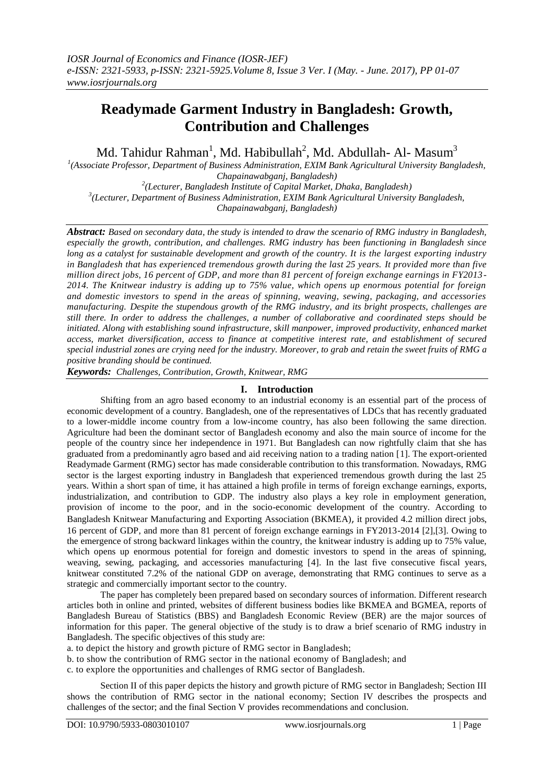# **Readymade Garment Industry in Bangladesh: Growth, Contribution and Challenges**

Md. Tahidur Rahman<sup>1</sup>, Md. Habibullah<sup>2</sup>, Md. Abdullah- Al- Masum<sup>3</sup>

<sup>1</sup>(Associate Professor, Department of Business Administration, EXIM Bank Agricultural University Bangladesh, *Chapainawabganj, Bangladesh)*

*2 (Lecturer, Bangladesh Institute of Capital Market, Dhaka, Bangladesh) 3 (Lecturer, Department of Business Administration, EXIM Bank Agricultural University Bangladesh, Chapainawabganj, Bangladesh)*

*Abstract: Based on secondary data, the study is intended to draw the scenario of RMG industry in Bangladesh, especially the growth, contribution, and challenges. RMG industry has been functioning in Bangladesh since long as a catalyst for sustainable development and growth of the country. It is the largest exporting industry in Bangladesh that has experienced tremendous growth during the last 25 years. It provided more than five million direct jobs, 16 percent of GDP, and more than 81 percent of foreign exchange earnings in FY2013 - 2014. The Knitwear industry is adding up to 75% value, which opens up enormous potential for foreign and domestic investors to spend in the areas of spinning, weaving, sewing, packaging, and accessories manufacturing. Despite the stupendous growth of the RMG industry, and its bright prospects, challenges are still there. In order to address the challenges, a number of collaborative and coordinated steps should be initiated. Along with establishing sound infrastructure, skill manpower, improved productivity, enhanced market access, market diversification, access to finance at competitive interest rate, and establishment of secured special industrial zones are crying need for the industry. Moreover, to grab and retain the sweet fruits of RMG a positive branding should be continued.*

*Keywords: Challenges, Contribution, Growth, Knitwear, RMG* 

#### **I. Introduction**

Shifting from an agro based economy to an industrial economy is an essential part of the process of economic development of a country. Bangladesh, one of the representatives of LDCs that has recently graduated to a lower-middle income country from a low-income country, has also been following the same direction. Agriculture had been the dominant sector of Bangladesh economy and also the main source of income for the people of the country since her independence in 1971. But Bangladesh can now rightfully claim that she has graduated from a predominantly agro based and aid receiving nation to a trading nation [1]. The export-oriented Readymade Garment (RMG) sector has made considerable contribution to this transformation. Nowadays, RMG sector is the largest exporting industry in Bangladesh that experienced tremendous growth during the last 25 years. Within a short span of time, it has attained a high profile in terms of foreign exchange earnings, exports, industrialization, and contribution to GDP. The industry also plays a key role in employment generation, provision of income to the poor, and in the socio-economic development of the country. According to Bangladesh Knitwear Manufacturing and Exporting Association (BKMEA), it provided 4.2 million direct jobs, 16 percent of GDP, and more than 81 percent of foreign exchange earnings in FY2013-2014 [2],[3]. Owing to the emergence of strong backward linkages within the country, the knitwear industry is adding up to 75% value, which opens up enormous potential for foreign and domestic investors to spend in the areas of spinning, weaving, sewing, packaging, and accessories manufacturing [4]. In the last five consecutive fiscal years, knitwear constituted 7.2% of the national GDP on average, demonstrating that RMG continues to serve as a strategic and commercially important sector to the country.

The paper has completely been prepared based on secondary sources of information. Different research articles both in online and printed, websites of different business bodies like BKMEA and BGMEA, reports of Bangladesh Bureau of Statistics (BBS) and Bangladesh Economic Review (BER) are the major sources of information for this paper. The general objective of the study is to draw a brief scenario of RMG industry in Bangladesh. The specific objectives of this study are:

a. to depict the history and growth picture of RMG sector in Bangladesh;

b. to show the contribution of RMG sector in the national economy of Bangladesh; and

c. to explore the opportunities and challenges of RMG sector of Bangladesh.

Section II of this paper depicts the history and growth picture of RMG sector in Bangladesh; Section III shows the contribution of RMG sector in the national economy; Section IV describes the prospects and challenges of the sector; and the final Section V provides recommendations and conclusion.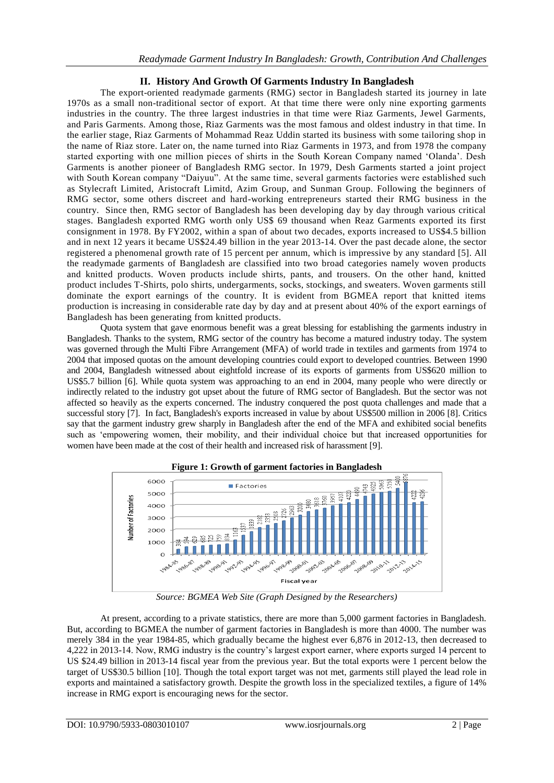# **II. History And Growth Of Garments Industry In Bangladesh**

The export-oriented readymade garments (RMG) sector in Bangladesh started its journey in late 1970s as a small non-traditional sector of export. At that time there were only nine exporting garments industries in the country. The three largest industries in that time were Riaz Garments, Jewel Garments, and Paris Garments. Among those, Riaz Garments was the most famous and oldest industry in that time. In the earlier stage, Riaz Garments of Mohammad Reaz Uddin started its business with some tailoring shop in the name of Riaz store. Later on, the name turned into Riaz Garments in 1973, and from 1978 the company started exporting with one million pieces of shirts in the South Korean Company named "Olanda". Desh Garments is another pioneer of Bangladesh RMG sector. In 1979, Desh Garments started a joint project with South Korean company "Daiyuu". At the same time, several garments factories were established such as Stylecraft Limited, Aristocraft Limitd, Azim Group, and Sunman Group. Following the beginners of RMG sector, some others discreet and hard-working entrepreneurs started their RMG business in the country. Since then, RMG sector of Bangladesh has been developing day by day through various critical stages. Bangladesh exported RMG worth only US\$ 69 thousand when Reaz Garments exported its first consignment in 1978. By FY2002, within a span of about two decades, exports increased to US\$4.5 billion and in next 12 years it became US\$24.49 billion in the year 2013-14. Over the past decade alone, the sector registered a phenomenal growth rate of 15 percent per annum, which is impressive by any standard [5]. All the readymade garments of Bangladesh are classified into two broad categories namely woven products and knitted products. Woven products include shirts, pants, and trousers. On the other hand, knitted product includes T-Shirts, polo shirts, undergarments, socks, stockings, and sweaters. Woven garments still dominate the export earnings of the country. It is evident from BGMEA report that knitted items production is increasing in considerable rate day by day and at present about 40% of the export earnings of Bangladesh has been generating from knitted products.

Quota system that gave enormous benefit was a great blessing for establishing the garments industry in Bangladesh. Thanks to the system, RMG sector of the country has become a matured industry today. The system was governed through the Multi Fibre Arrangement (MFA) of world trade in textiles and garments from 1974 to 2004 that imposed quotas on the amount developing countries could export to developed countries. Between 1990 and 2004, Bangladesh witnessed about eightfold increase of its exports of garments from US\$620 million to US\$5.7 billion [6]. While quota system was approaching to an end in 2004, many people who were directly or indirectly related to the industry got upset about the future of RMG sector of Bangladesh. But the sector was not affected so heavily as the experts concerned. The industry conquered the post quota challenges and made that a successful story [7]. In fact, Bangladesh's exports increased in value by about US\$500 million in 2006 [8]. Critics say that the garment industry grew sharply in Bangladesh after the end of the MFA and exhibited social benefits such as "empowering women, their mobility, and their individual choice but that increased opportunities for women have been made at the cost of their health and increased risk of harassment [9].



*Source: BGMEA Web Site (Graph Designed by the Researchers)*

At present, according to a private statistics, there are more than 5,000 garment factories in Bangladesh. But, according to BGMEA the number of garment factories in Bangladesh is more than 4000. The number was merely 384 in the year 1984-85, which gradually became the highest ever 6,876 in 2012-13, then decreased to 4,222 in 2013-14. Now, RMG industry is the country"s largest export earner, where exports surged 14 percent to US \$24.49 billion in 2013-14 fiscal year from the previous year. But the total exports were 1 percent below the target of US\$30.5 billion [10]. Though the total export target was not met, garments still played the lead role in exports and maintained a satisfactory growth. Despite the growth loss in the specialized textiles, a figure of 14% increase in RMG export is encouraging news for the sector.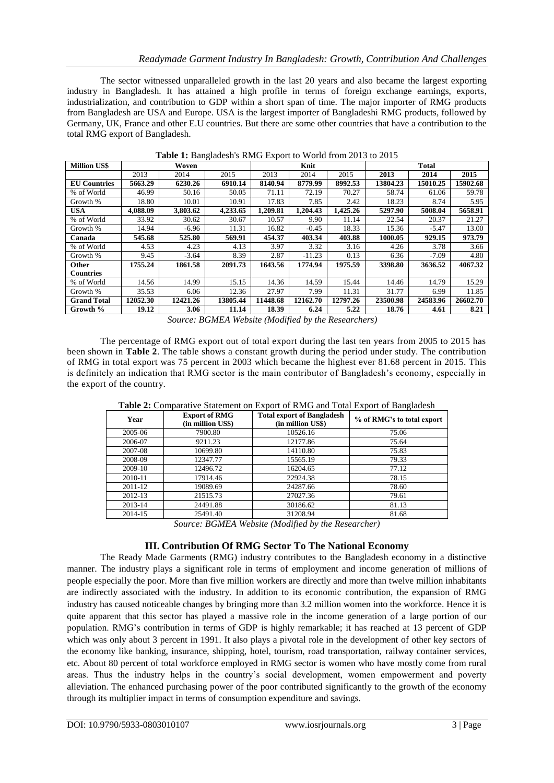The sector witnessed unparalleled growth in the last 20 years and also became the largest exporting industry in Bangladesh. It has attained a high profile in terms of foreign exchange earnings, exports, industrialization, and contribution to GDP within a short span of time. The major importer of RMG products from Bangladesh are USA and Europe. USA is the largest importer of Bangladeshi RMG products, followed by Germany, UK, France and other E.U countries. But there are some other countries that have a contribution to the total RMG export of Bangladesh.

| <b>Million US\$</b> | Woven    |          |          | Knit     |          |          | <b>Total</b> |          |          |
|---------------------|----------|----------|----------|----------|----------|----------|--------------|----------|----------|
|                     | 2013     | 2014     | 2015     | 2013     | 2014     | 2015     | 2013         | 2014     | 2015     |
| <b>EU</b> Countries | 5663.29  | 6230.26  | 6910.14  | 8140.94  | 8779.99  | 8992.53  | 13804.23     | 15010.25 | 15902.68 |
| % of World          | 46.99    | 50.16    | 50.05    | 71.11    | 72.19    | 70.27    | 58.74        | 61.06    | 59.78    |
| Growth %            | 18.80    | 10.01    | 10.91    | 17.83    | 7.85     | 2.42     | 18.23        | 8.74     | 5.95     |
| <b>USA</b>          | 4.088.09 | 3.803.62 | 4.233.65 | 1.209.81 | 1.204.43 | 1.425.26 | 5297.90      | 5008.04  | 5658.91  |
| % of World          | 33.92    | 30.62    | 30.67    | 10.57    | 9.90     | 11.14    | 22.54        | 20.37    | 21.27    |
| Growth %            | 14.94    | $-6.96$  | 11.31    | 16.82    | $-0.45$  | 18.33    | 15.36        | $-5.47$  | 13.00    |
| Canada              | 545.68   | 525.80   | 569.91   | 454.37   | 403.34   | 403.88   | 1000.05      | 929.15   | 973.79   |
| % of World          | 4.53     | 4.23     | 4.13     | 3.97     | 3.32     | 3.16     | 4.26         | 3.78     | 3.66     |
| Growth %            | 9.45     | $-3.64$  | 8.39     | 2.87     | $-11.23$ | 0.13     | 6.36         | $-7.09$  | 4.80     |
| <b>Other</b>        | 1755.24  | 1861.58  | 2091.73  | 1643.56  | 1774.94  | 1975.59  | 3398.80      | 3636.52  | 4067.32  |
| <b>Countries</b>    |          |          |          |          |          |          |              |          |          |
| % of World          | 14.56    | 14.99    | 15.15    | 14.36    | 14.59    | 15.44    | 14.46        | 14.79    | 15.29    |
| Growth %            | 35.53    | 6.06     | 12.36    | 27.97    | 7.99     | 11.31    | 31.77        | 6.99     | 11.85    |
| <b>Grand Total</b>  | 12052.30 | 12421.26 | 13805.44 | 11448.68 | 12162.70 | 12797.26 | 23500.98     | 24583.96 | 26602.70 |
| Growth %            | 19.12    | 3.06     | 11.14    | 18.39    | 6.24     | 5.22     | 18.76        | 4.61     | 8.21     |

**Table 1:** Bangladesh's RMG Export to World from 2013 to 2015

*Source: BGMEA Website (Modified by the Researchers)*

The percentage of RMG export out of total export during the last ten years from 2005 to 2015 has been shown in **Table 2**. The table shows a constant growth during the period under study. The contribution of RMG in total export was 75 percent in 2003 which became the highest ever 81.68 percent in 2015. This is definitely an indication that RMG sector is the main contributor of Bangladesh's economy, especially in the export of the country.

| Year    | <b>Export of RMG</b><br>(in million US\$) | <b>Total export of Bangladesh</b><br>(in million US\$) | % of RMG's to total export |  |  |
|---------|-------------------------------------------|--------------------------------------------------------|----------------------------|--|--|
| 2005-06 | 7900.80                                   | 10526.16                                               | 75.06                      |  |  |
| 2006-07 | 9211.23                                   | 12177.86                                               | 75.64                      |  |  |
| 2007-08 | 10699.80                                  | 14110.80                                               | 75.83                      |  |  |
| 2008-09 | 12347.77                                  | 15565.19                                               | 79.33                      |  |  |
| 2009-10 | 12496.72                                  | 16204.65                                               | 77.12                      |  |  |
| 2010-11 | 17914.46                                  | 22924.38                                               | 78.15                      |  |  |
| 2011-12 | 19089.69                                  | 24287.66                                               | 78.60                      |  |  |
| 2012-13 | 21515.73                                  | 27027.36                                               | 79.61                      |  |  |
| 2013-14 | 24491.88                                  | 30186.62                                               | 81.13                      |  |  |
| 2014-15 | 25491.40                                  | 31208.94                                               | 81.68                      |  |  |
|         | $\sim$                                    | <b>DOMERATELLE ALL 110</b> 11 1<br>n.                  |                            |  |  |

**Table 2:** Comparative Statement on Export of RMG and Total Export of Bangladesh

*Source: BGMEA Website (Modified by the Researcher)*

## **III. Contribution Of RMG Sector To The National Economy**

The Ready Made Garments (RMG) industry contributes to the Bangladesh economy in a distinctive manner. The industry plays a significant role in terms of employment and income generation of millions of people especially the poor. More than five million workers are directly and more than twelve million inhabitants are indirectly associated with the industry. In addition to its economic contribution, the expansion of RMG industry has caused noticeable changes by bringing more than 3.2 million women into the workforce. Hence it is quite apparent that this sector has played a massive role in the income generation of a large portion of our population. RMG"s contribution in terms of GDP is highly remarkable; it has reached at 13 percent of GDP which was only about 3 percent in 1991. It also plays a pivotal role in the development of other key sectors of the economy like banking, insurance, shipping, hotel, tourism, road transportation, railway container services, etc. About 80 percent of total workforce employed in RMG sector is women who have mostly come from rural areas. Thus the industry helps in the country"s social development, women empowerment and poverty alleviation. The enhanced purchasing power of the poor contributed significantly to the growth of the economy through its multiplier impact in terms of consumption expenditure and savings.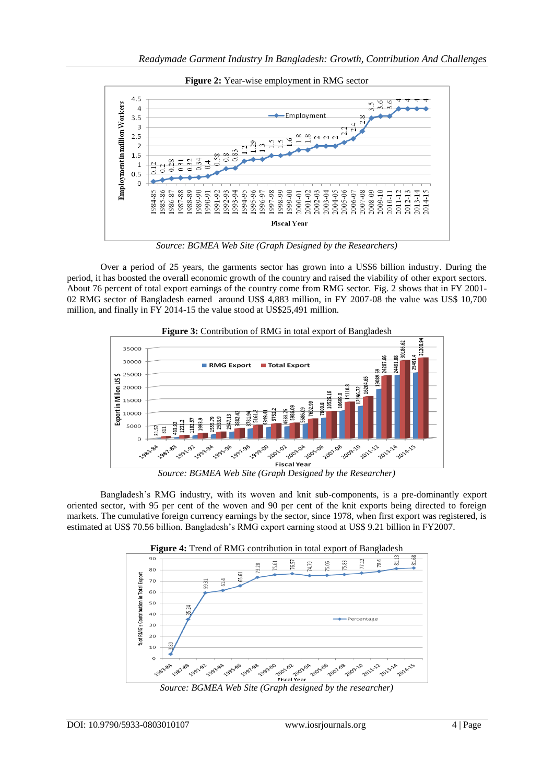

**Figure 2:** Year-wise employment in RMG sector

*Source: BGMEA Web Site (Graph Designed by the Researchers)*

Over a period of 25 years, the garments sector has grown into a US\$6 billion industry. During the period, it has boosted the overall economic growth of the country and raised the viability of other export sectors. About 76 percent of total export earnings of the country come from RMG sector. Fig. 2 shows that in FY 2001- 02 RMG sector of Bangladesh earned around US\$ 4,883 million, in FY 2007-08 the value was US\$ 10,700 million, and finally in FY 2014-15 the value stood at US\$25,491 million.



Figure 3: Contribution of RMG in total export of Bangladesh

*Source: BGMEA Web Site (Graph Designed by the Researcher)*

Bangladesh"s RMG industry, with its woven and knit sub-components, is a pre-dominantly export oriented sector, with 95 per cent of the woven and 90 per cent of the knit exports being directed to foreign markets. The cumulative foreign currency earnings by the sector, since 1978, when first export was registered, is estimated at US\$ 70.56 billion. Bangladesh"s RMG export earning stood at US\$ 9.21 billion in FY2007.



*Source: BGMEA Web Site (Graph designed by the researcher)*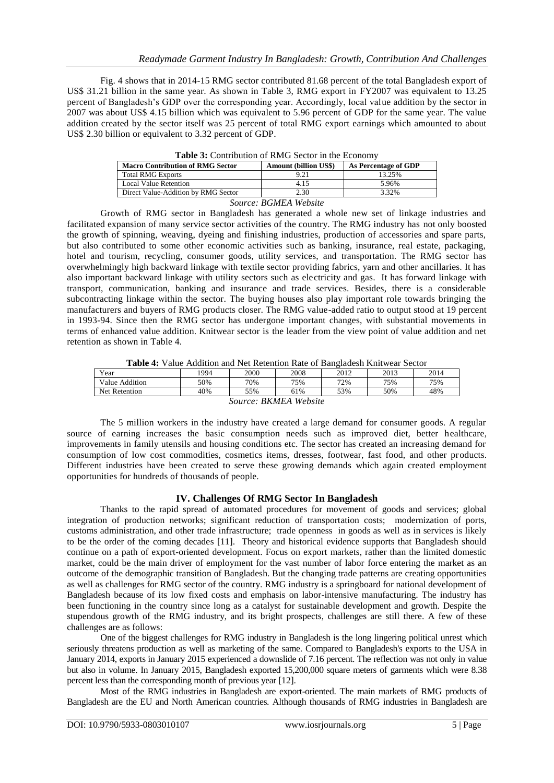Fig. 4 shows that in 2014-15 RMG sector contributed 81.68 percent of the total Bangladesh export of US\$ 31.21 billion in the same year. As shown in Table 3, RMG export in FY2007 was equivalent to 13.25 percent of Bangladesh"s GDP over the corresponding year. Accordingly, local value addition by the sector in 2007 was about US\$ 4.15 billion which was equivalent to 5.96 percent of GDP for the same year. The value addition created by the sector itself was 25 percent of total RMG export earnings which amounted to about US\$ 2.30 billion or equivalent to 3.32 percent of GDP.

| <b>Macro Contribution of RMG Sector</b> | <b>Amount (billion US\$)</b> | As Percentage of GDP |  |  |  |
|-----------------------------------------|------------------------------|----------------------|--|--|--|
| <b>Total RMG Exports</b>                | 9.21                         | 13.25%               |  |  |  |
| <b>Local Value Retention</b>            | 4.15                         | 5.96%                |  |  |  |
| Direct Value-Addition by RMG Sector     | 2.30                         | 3.32%                |  |  |  |
| Source: RGMFA Website                   |                              |                      |  |  |  |

**Table 3:** Contribution of RMG Sector in the Economy

*Source: BGMEA Website*

Growth of RMG sector in Bangladesh has generated a whole new set of linkage industries and facilitated expansion of many service sector activities of the country. The RMG industry has not only boosted the growth of spinning, weaving, dyeing and finishing industries, production of accessories and spare parts, but also contributed to some other economic activities such as banking, insurance, real estate, packaging, hotel and tourism, recycling, consumer goods, utility services, and transportation. The RMG sector has overwhelmingly high backward linkage with textile sector providing fabrics, yarn and other ancillaries. It has also important backward linkage with utility sectors such as electricity and gas. It has forward linkage with transport, communication, banking and insurance and trade services. Besides, there is a considerable subcontracting linkage within the sector. The buying houses also play important role towards bringing the manufacturers and buyers of RMG products closer. The RMG value-added ratio to output stood at 19 percent in 1993-94. Since then the RMG sector has undergone important changes, with substantial movements in terms of enhanced value addition. Knitwear sector is the leader from the view point of value addition and net retention as shown in Table 4.

| .<br>.               | .    |      | .    | .<br>. | .    |      |
|----------------------|------|------|------|--------|------|------|
| Year                 | '994 | 2000 | 2008 | 2012   | 2013 | 2014 |
| Value Addition       | 50%  | 70%  | 75%  | 72%    | 75%  | 75%  |
| <b>Net Retention</b> | 40%  | 55%  | 61%  | 53%    | 50%  | 48%  |
| PIZIMFA III I.       |      |      |      |        |      |      |

*Source: BKMEA Website*

The 5 million workers in the industry have created a large demand for consumer goods. A regular source of earning increases the basic consumption needs such as improved diet, better healthcare, improvements in family utensils and housing conditions etc. The sector has created an increasing demand for consumption of low cost commodities, cosmetics items, dresses, footwear, fast food, and other products. Different industries have been created to serve these growing demands which again created employment opportunities for hundreds of thousands of people.

## **IV. Challenges Of RMG Sector In Bangladesh**

Thanks to the rapid spread of automated procedures for movement of goods and services; global integration of production networks; significant reduction of transportation costs; modernization of ports, customs administration, and other trade infrastructure; trade openness in goods as well as in services is likely to be the order of the coming decades [11]. Theory and historical evidence supports that Bangladesh should continue on a path of export-oriented development. Focus on export markets, rather than the limited domestic market, could be the main driver of employment for the vast number of labor force entering the market as an outcome of the demographic transition of Bangladesh. But the changing trade patterns are creating opportunities as well as challenges for RMG sector of the country. RMG industry is a springboard for national development of Bangladesh because of its low fixed costs and emphasis on labor-intensive manufacturing. The industry has been functioning in the country since long as a catalyst for sustainable development and growth. Despite the stupendous growth of the RMG industry, and its bright prospects, challenges are still there. A few of these challenges are as follows:

One of the biggest challenges for RMG industry in Bangladesh is the long lingering political unrest which seriously threatens production as well as marketing of the same. Compared to Bangladesh's exports to the USA in January 2014, exports in January 2015 experienced a downslide of 7.16 percent. The reflection was not only in value but also in volume. In January 2015, Bangladesh exported 15,200,000 square meters of garments which were 8.38 percent less than the corresponding month of previous year [12].

Most of the RMG industries in Bangladesh are export-oriented. The main markets of RMG products of Bangladesh are the EU and North American countries. Although thousands of RMG industries in Bangladesh are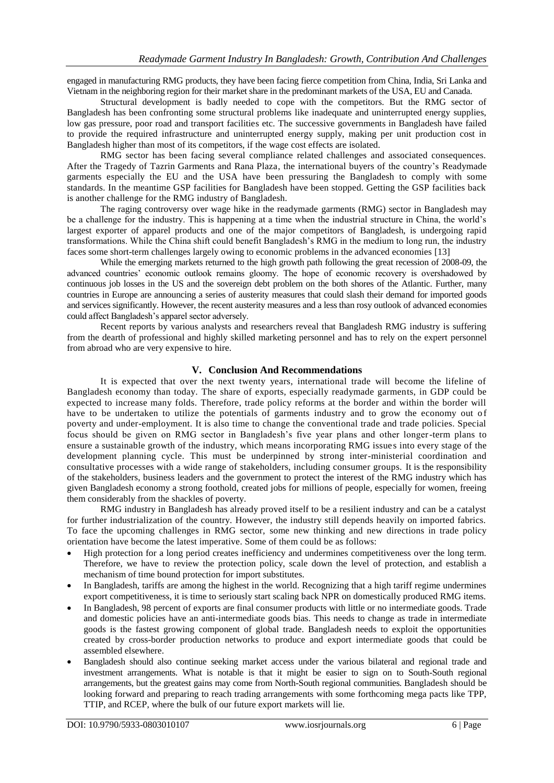engaged in manufacturing RMG products, they have been facing fierce competition from China, India, Sri Lanka and Vietnam in the neighboring region for their market share in the predominant markets of the USA, EU and Canada.

Structural development is badly needed to cope with the competitors. But the RMG sector of Bangladesh has been confronting some structural problems like inadequate and uninterrupted energy supplies, low gas pressure, poor road and transport facilities etc. The successive governments in Bangladesh have failed to provide the required infrastructure and uninterrupted energy supply, making per unit production cost in Bangladesh higher than most of its competitors, if the wage cost effects are isolated.

RMG sector has been facing several compliance related challenges and associated consequences. After the Tragedy of Tazrin Garments and Rana Plaza, the international buyers of the country"s Readymade garments especially the EU and the USA have been pressuring the Bangladesh to comply with some standards. In the meantime GSP facilities for Bangladesh have been stopped. Getting the GSP facilities back is another challenge for the RMG industry of Bangladesh.

The raging controversy over wage hike in the readymade garments (RMG) sector in Bangladesh may be a challenge for the industry. This is happening at a time when the industrial structure in China, the world"s largest exporter of apparel products and one of the major competitors of Bangladesh, is undergoing rapid transformations. While the China shift could benefit Bangladesh"s RMG in the medium to long run, the industry faces some short-term challenges largely owing to economic problems in the advanced economies [13]

While the emerging markets returned to the high growth path following the great recession of 2008-09, the advanced countries' economic outlook remains gloomy. The hope of economic recovery is overshadowed by continuous job losses in the US and the sovereign debt problem on the both shores of the Atlantic. Further, many countries in Europe are announcing a series of austerity measures that could slash their demand for imported goods and services significantly. However, the recent austerity measures and a less than rosy outlook of advanced economies could affect Bangladesh"s apparel sector adversely.

Recent reports by various analysts and researchers reveal that Bangladesh RMG industry is suffering from the dearth of professional and highly skilled marketing personnel and has to rely on the expert personnel from abroad who are very expensive to hire.

#### **V. Conclusion And Recommendations**

It is expected that over the next twenty years, international trade will become the lifeline of Bangladesh economy than today. The share of exports, especially readymade garments, in GDP could be expected to increase many folds. Therefore, trade policy reforms at the border and within the border will have to be undertaken to utilize the potentials of garments industry and to grow the economy out of poverty and under-employment. It is also time to change the conventional trade and trade policies. Special focus should be given on RMG sector in Bangladesh"s five year plans and other longer-term plans to ensure a sustainable growth of the industry, which means incorporating RMG issue s into every stage of the development planning cycle. This must be underpinned by strong inter-ministerial coordination and consultative processes with a wide range of stakeholders, including consumer groups. It is the responsibility of the stakeholders, business leaders and the government to protect the interest of the RMG industry which has given Bangladesh economy a strong foothold, created jobs for millions of people, especially for women, freeing them considerably from the shackles of poverty.

RMG industry in Bangladesh has already proved itself to be a resilient industry and can be a catalyst for further industrialization of the country. However, the industry still depends heavily on imported fabrics. To face the upcoming challenges in RMG sector, some new thinking and new directions in trade policy orientation have become the latest imperative. Some of them could be as follows:

- High protection for a long period creates inefficiency and undermines competitiveness over the long term. Therefore, we have to review the protection policy, scale down the level of protection, and establish a mechanism of time bound protection for import substitutes.
- In Bangladesh, tariffs are among the highest in the world. Recognizing that a high tariff regime undermines export competitiveness, it is time to seriously start scaling back NPR on domestically produced RMG items.
- In Bangladesh, 98 percent of exports are final consumer products with little or no intermediate goods. Trade and domestic policies have an anti-intermediate goods bias. This needs to change as trade in intermediate goods is the fastest growing component of global trade. Bangladesh needs to exploit the opportunities created by cross-border production networks to produce and export intermediate goods that could be assembled elsewhere.
- Bangladesh should also continue seeking market access under the various bilateral and regional trade and investment arrangements. What is notable is that it might be easier to sign on to South-South regional arrangements, but the greatest gains may come from North-South regional communities. Bangladesh should be looking forward and preparing to reach trading arrangements with some forthcoming mega pacts like TPP, TTIP, and RCEP, where the bulk of our future export markets will lie.